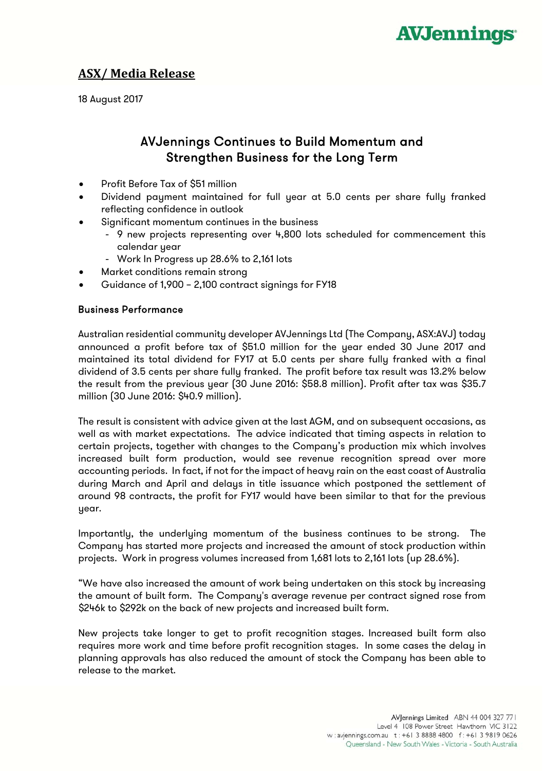

## **ASX/ Media Release**

18 August 2017

# AVJennings Continues to Build Momentum and Strengthen Business for the Long Term

- Profit Before Tax of \$51 million
- Dividend payment maintained for full year at 5.0 cents per share fully franked reflecting confidence in outlook
- Significant momentum continues in the business
	- 9 new projects representing over 4,800 lots scheduled for commencement this calendar year
	- Work In Progress up 28.6% to 2,161 lots
- Market conditions remain strong
- Guidance of 1,900 2,100 contract signings for FY18

#### Business Performance

Australian residential community developer AVJennings Ltd (The Company, ASX:AVJ) today announced a profit before tax of \$51.0 million for the year ended 30 June 2017 and maintained its total dividend for FY17 at 5.0 cents per share fully franked with a final dividend of 3.5 cents per share fully franked. The profit before tax result was 13.2% below the result from the previous year (30 June 2016: \$58.8 million). Profit after tax was \$35.7 million (30 June 2016: \$40.9 million).

The result is consistent with advice given at the last AGM, and on subsequent occasions, as well as with market expectations. The advice indicated that timing aspects in relation to certain projects, together with changes to the Company's production mix which involves increased built form production, would see revenue recognition spread over more accounting periods. In fact, if not for the impact of heavy rain on the east coast of Australia during March and April and delays in title issuance which postponed the settlement of around 98 contracts, the profit for FY17 would have been similar to that for the previous year.

Importantly, the underlying momentum of the business continues to be strong. The Company has started more projects and increased the amount of stock production within projects. Work in progress volumes increased from 1,681 lots to 2,161 lots (up 28.6%).

"We have also increased the amount of work being undertaken on this stock by increasing the amount of built form. The Company's average revenue per contract signed rose from \$246k to \$292k on the back of new projects and increased built form.

New projects take longer to get to profit recognition stages. Increased built form also requires more work and time before profit recognition stages. In some cases the delay in planning approvals has also reduced the amount of stock the Company has been able to release to the market.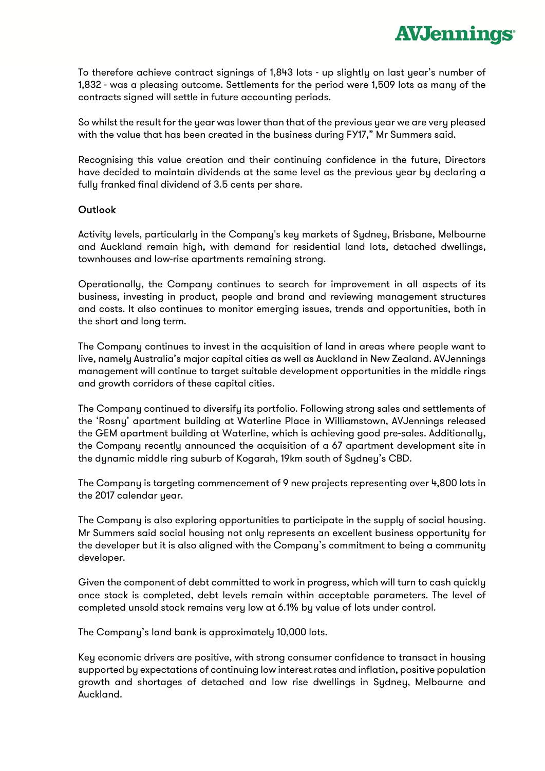

To therefore achieve contract signings of 1,843 lots - up slightly on last year's number of 1,832 - was a pleasing outcome. Settlements for the period were 1,509 lots as many of the contracts signed will settle in future accounting periods.

So whilst the result for the year was lower than that of the previous year we are very pleased with the value that has been created in the business during FY17," Mr Summers said.

Recognising this value creation and their continuing confidence in the future, Directors have decided to maintain dividends at the same level as the previous year by declaring a fully franked final dividend of 3.5 cents per share.

#### **Outlook**

Activity levels, particularly in the Company's key markets of Sydney, Brisbane, Melbourne and Auckland remain high, with demand for residential land lots, detached dwellings, townhouses and low-rise apartments remaining strong.

Operationally, the Company continues to search for improvement in all aspects of its business, investing in product, people and brand and reviewing management structures and costs. It also continues to monitor emerging issues, trends and opportunities, both in the short and long term.

The Company continues to invest in the acquisition of land in areas where people want to live, namely Australia's major capital cities as well as Auckland in New Zealand. AVJennings management will continue to target suitable development opportunities in the middle rings and growth corridors of these capital cities.

The Company continued to diversify its portfolio. Following strong sales and settlements of the 'Rosny' apartment building at Waterline Place in Williamstown, AVJennings released the GEM apartment building at Waterline, which is achieving good pre-sales. Additionally, the Company recently announced the acquisition of a 67 apartment development site in the dynamic middle ring suburb of Kogarah, 19km south of Sydney's CBD.

The Company is targeting commencement of 9 new projects representing over 4,800 lots in the 2017 calendar year.

The Company is also exploring opportunities to participate in the supply of social housing. Mr Summers said social housing not only represents an excellent business opportunity for the developer but it is also aligned with the Company's commitment to being a community developer.

Given the component of debt committed to work in progress, which will turn to cash quickly once stock is completed, debt levels remain within acceptable parameters. The level of completed unsold stock remains very low at 6.1% by value of lots under control.

The Company's land bank is approximately 10,000 lots.

Key economic drivers are positive, with strong consumer confidence to transact in housing supported by expectations of continuing low interest rates and inflation, positive population growth and shortages of detached and low rise dwellings in Sydney, Melbourne and Auckland.